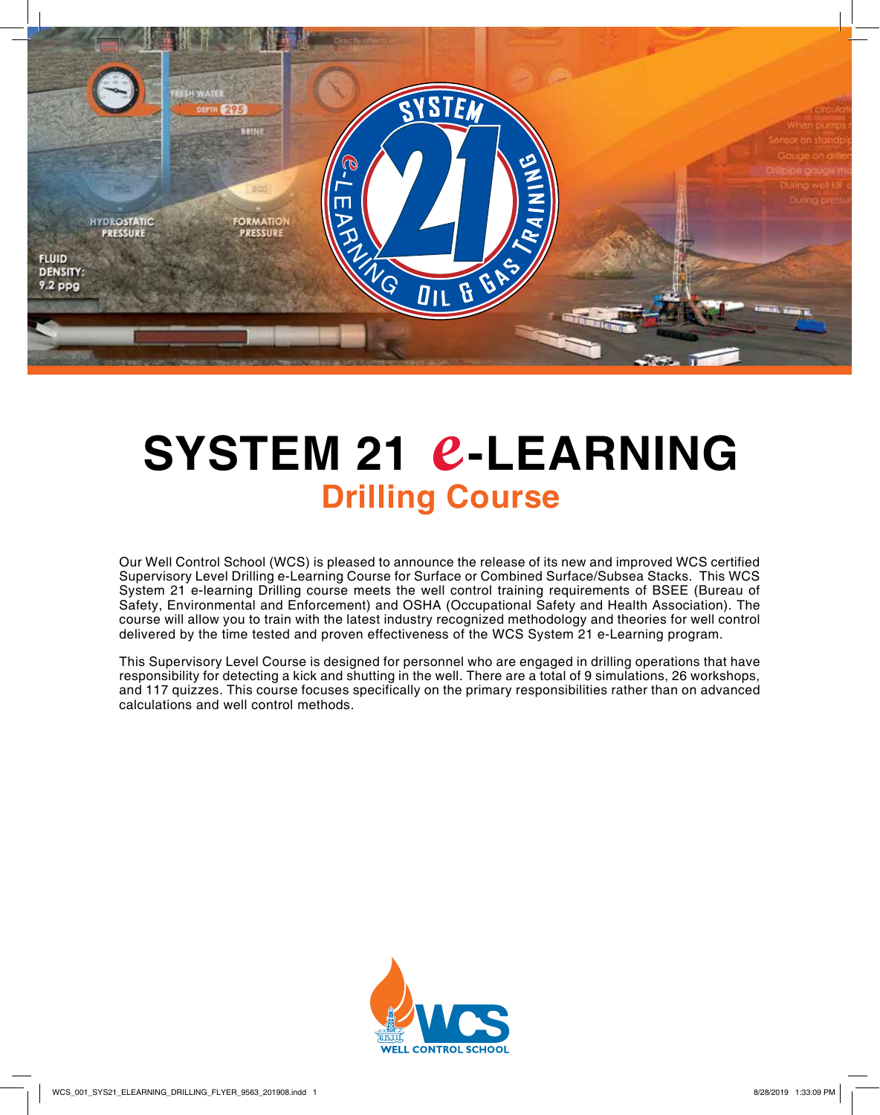

# **SYSTEM 21 e-LEARNING Drilling Course**

Our Well Control School (WCS) is pleased to announce the release of its new and improved WCS certified Supervisory Level Drilling e-Learning Course for Surface or Combined Surface/Subsea Stacks. This WCS System 21 e-learning Drilling course meets the well control training requirements of BSEE (Bureau of Safety, Environmental and Enforcement) and OSHA (Occupational Safety and Health Association). The course will allow you to train with the latest industry recognized methodology and theories for well control delivered by the time tested and proven effectiveness of the WCS System 21 e-Learning program.

This Supervisory Level Course is designed for personnel who are engaged in drilling operations that have responsibility for detecting a kick and shutting in the well. There are a total of 9 simulations, 26 workshops, and 117 quizzes. This course focuses specifically on the primary responsibilities rather than on advanced calculations and well control methods.